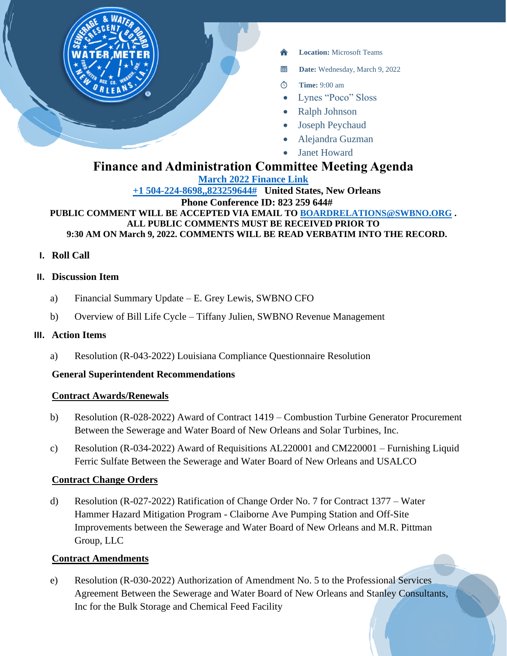

- **Location:** Microsoft Teams
- 當 **Date:** Wednesday, March 9, 2022
- $\circ$ **Time:** 9:00 am
- Lynes "Poco" Sloss
- Ralph Johnson
- Joseph Peychaud
- Alejandra Guzman
- **Janet Howard**

# **Finance and Administration Committee Meeting Agenda**

**[March 2022 Finance Link](https://teams.microsoft.com/l/meetup-join/19%3ameeting_MzUzODkwMDQtM2M3Ny00MDkxLWIyMTItMGJkNjYyYjMzZmI2%40thread.v2/0?context=%7b%22Tid%22%3a%22db706155-4aa7-4a5e-b348-b35c3136f6a7%22%2c%22Oid%22%3a%22fcca2b1f-7895-42f0-8972-2f2b78d70e78%22%7d)**

**[+1 504-224-8698,,823259644#](tel:+15042248698,,823259644# ) United States, New Orleans Phone Conference ID: 823 259 644#**

**PUBLIC COMMENT WILL BE ACCEPTED VIA EMAIL TO [BOARDRELATIONS@SWBNO.ORG](mailto:BOARDRELATIONS@SWBNO.ORG) . ALL PUBLIC COMMENTS MUST BE RECEIVED PRIOR TO 9:30 AM ON March 9, 2022. COMMENTS WILL BE READ VERBATIM INTO THE RECORD.**

**I. Roll Call**

# **II. Discussion Item**

- a) Financial Summary Update E. Grey Lewis, SWBNO CFO
- b) Overview of Bill Life Cycle Tiffany Julien, SWBNO Revenue Management

# **III. Action Items**

a) Resolution (R-043-2022) Louisiana Compliance Questionnaire Resolution

# **General Superintendent Recommendations**

# **Contract Awards/Renewals**

- b) Resolution (R-028-2022) Award of Contract 1419 Combustion Turbine Generator Procurement Between the Sewerage and Water Board of New Orleans and Solar Turbines, Inc.
- c) Resolution (R-034-2022) Award of Requisitions AL220001 and CM220001 Furnishing Liquid Ferric Sulfate Between the Sewerage and Water Board of New Orleans and USALCO

# **Contract Change Orders**

d) Resolution (R-027-2022) Ratification of Change Order No. 7 for Contract 1377 – Water Hammer Hazard Mitigation Program - Claiborne Ave Pumping Station and Off-Site Improvements between the Sewerage and Water Board of New Orleans and M.R. Pittman Group, LLC

# **Contract Amendments**

e) Resolution (R-030-2022) Authorization of Amendment No. 5 to the Professional Services Agreement Between the Sewerage and Water Board of New Orleans and Stanley Consultants, Inc for the Bulk Storage and Chemical Feed Facility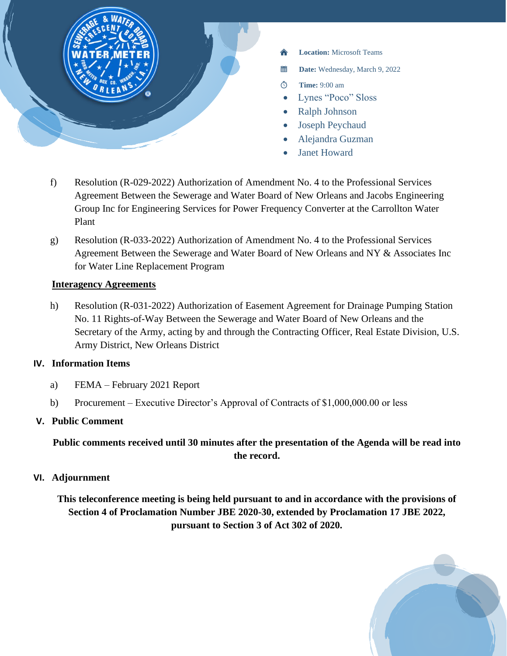

- **Location:** Microsoft Teams
- **Date:** Wednesday, March 9, 2022
- **Time:** 9:00 am
- Lynes "Poco" Sloss
- Ralph Johnson
- Joseph Peychaud
- Alejandra Guzman
- Janet Howard
- f) Resolution (R-029-2022) Authorization of Amendment No. 4 to the Professional Services Agreement Between the Sewerage and Water Board of New Orleans and Jacobs Engineering Group Inc for Engineering Services for Power Frequency Converter at the Carrollton Water Plant
- g) Resolution (R-033-2022) Authorization of Amendment No. 4 to the Professional Services Agreement Between the Sewerage and Water Board of New Orleans and NY & Associates Inc for Water Line Replacement Program

#### **Interagency Agreements**

h) Resolution (R-031-2022) Authorization of Easement Agreement for Drainage Pumping Station No. 11 Rights-of-Way Between the Sewerage and Water Board of New Orleans and the Secretary of the Army, acting by and through the Contracting Officer, Real Estate Division, U.S. Army District, New Orleans District

# **IV. Information Items**

- a) FEMA February 2021 Report
- b) Procurement Executive Director's Approval of Contracts of \$1,000,000.00 or less

# **V. Public Comment**

**Public comments received until 30 minutes after the presentation of the Agenda will be read into the record.**

# **VI. Adjournment**

**This teleconference meeting is being held pursuant to and in accordance with the provisions of Section 4 of Proclamation Number JBE 2020-30, extended by Proclamation 17 JBE 2022, pursuant to Section 3 of Act 302 of 2020.**